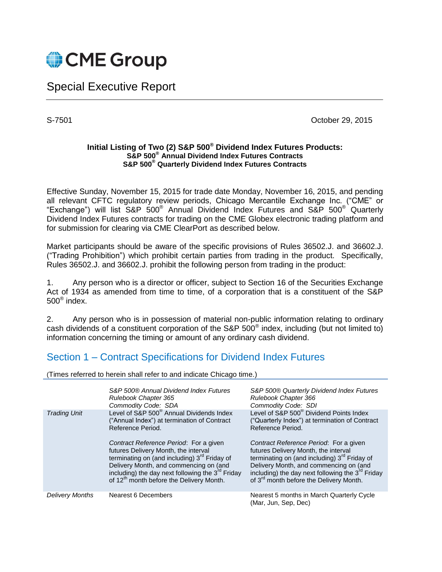

## Special Executive Report

S-7501 Corollars 2015

## **Initial Listing of Two (2) S&P 500® Dividend Index Futures Products: S&P 500® Annual Dividend Index Futures Contracts S&P 500® Quarterly Dividend Index Futures Contracts**

Effective Sunday, November 15, 2015 for trade date Monday, November 16, 2015, and pending all relevant CFTC regulatory review periods, Chicago Mercantile Exchange Inc. ("CME" or "Exchange") will list S&P 500® Annual Dividend Index Futures and S&P 500® Quarterly Dividend Index Futures contracts for trading on the CME Globex electronic trading platform and for submission for clearing via CME ClearPort as described below.

Market participants should be aware of the specific provisions of Rules 36502.J. and 36602.J. ("Trading Prohibition") which prohibit certain parties from trading in the product. Specifically, Rules 36502.J. and 36602.J. prohibit the following person from trading in the product:

1. Any person who is a director or officer, subject to Section 16 of the Securities Exchange Act of 1934 as amended from time to time, of a corporation that is a constituent of the S&P 500® index.

2. Any person who is in possession of material non-public information relating to ordinary cash dividends of a constituent corporation of the S&P 500<sup>®</sup> index, including (but not limited to) information concerning the timing or amount of any ordinary cash dividend.

## Section 1 – Contract Specifications for Dividend Index Futures

(Times referred to herein shall refer to and indicate Chicago time.)

|                        | S&P 500® Annual Dividend Index Futures<br><b>Rulebook Chapter 365</b><br>Commodity Code: SDA                                                                                                                                                                                                     | S&P 500® Quarterly Dividend Index Futures<br>Rulebook Chapter 366<br>Commodity Code: SDI                                                                                                                                                                                                        |
|------------------------|--------------------------------------------------------------------------------------------------------------------------------------------------------------------------------------------------------------------------------------------------------------------------------------------------|-------------------------------------------------------------------------------------------------------------------------------------------------------------------------------------------------------------------------------------------------------------------------------------------------|
| <b>Trading Unit</b>    | Level of S&P 500 <sup>®</sup> Annual Dividends Index<br>("Annual Index") at termination of Contract<br>Reference Period.                                                                                                                                                                         | Level of S&P 500 <sup>®</sup> Dividend Points Index<br>("Quarterly Index") at termination of Contract<br>Reference Period.                                                                                                                                                                      |
|                        | Contract Reference Period: For a given<br>futures Delivery Month, the interval<br>terminating on (and including) 3 <sup>rd</sup> Friday of<br>Delivery Month, and commencing on (and<br>including) the day next following the 3rd Friday<br>of 12 <sup>th</sup> month before the Delivery Month. | Contract Reference Period: For a given<br>futures Delivery Month, the interval<br>terminating on (and including) 3 <sup>rd</sup> Friday of<br>Delivery Month, and commencing on (and<br>including) the day next following the 3rd Friday<br>of 3 <sup>rd</sup> month before the Delivery Month. |
| <b>Delivery Months</b> | <b>Nearest 6 Decembers</b>                                                                                                                                                                                                                                                                       | Nearest 5 months in March Quarterly Cycle<br>(Mar, Jun, Sep, Dec)                                                                                                                                                                                                                               |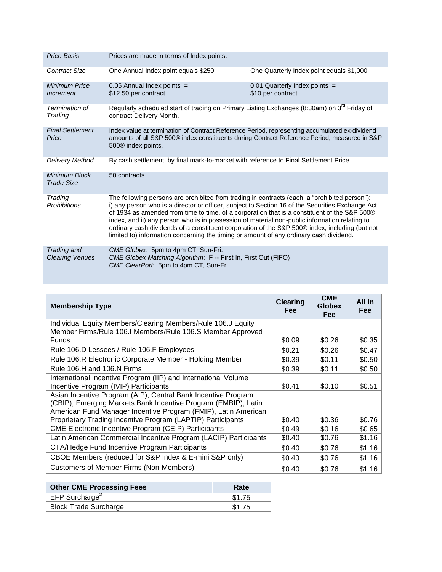| Price Basis                                     | Prices are made in terms of Index points.                                                                                                                                                                                                                                                                                                                                                                                                                                                                                                                                                      |                                                       |
|-------------------------------------------------|------------------------------------------------------------------------------------------------------------------------------------------------------------------------------------------------------------------------------------------------------------------------------------------------------------------------------------------------------------------------------------------------------------------------------------------------------------------------------------------------------------------------------------------------------------------------------------------------|-------------------------------------------------------|
| <b>Contract Size</b>                            | One Annual Index point equals \$250                                                                                                                                                                                                                                                                                                                                                                                                                                                                                                                                                            | One Quarterly Index point equals \$1,000              |
| Minimum Price<br><i><u><b>Increment</b></u></i> | $0.05$ Annual Index points =<br>\$12.50 per contract.                                                                                                                                                                                                                                                                                                                                                                                                                                                                                                                                          | $0.01$ Quarterly Index points =<br>\$10 per contract. |
| Termination of<br>Trading                       | Regularly scheduled start of trading on Primary Listing Exchanges (8:30am) on 3 <sup>rd</sup> Friday of<br>contract Delivery Month.                                                                                                                                                                                                                                                                                                                                                                                                                                                            |                                                       |
| <b>Final Settlement</b><br>Price                | Index value at termination of Contract Reference Period, representing accumulated ex-dividend<br>amounts of all S&P 500® index constituents during Contract Reference Period, measured in S&P<br>500 <sup>®</sup> index points.                                                                                                                                                                                                                                                                                                                                                                |                                                       |
| Delivery Method                                 | By cash settlement, by final mark-to-market with reference to Final Settlement Price.                                                                                                                                                                                                                                                                                                                                                                                                                                                                                                          |                                                       |
| Minimum Block<br>Trade Size                     | 50 contracts                                                                                                                                                                                                                                                                                                                                                                                                                                                                                                                                                                                   |                                                       |
| Trading<br><b>Prohibitions</b>                  | The following persons are prohibited from trading in contracts (each, a "prohibited person"):<br>i) any person who is a director or officer, subject to Section 16 of the Securities Exchange Act<br>of 1934 as amended from time to time, of a corporation that is a constituent of the S&P 500®<br>index, and ii) any person who is in possession of material non-public information relating to<br>ordinary cash dividends of a constituent corporation of the S&P 500® index, including (but not<br>limited to) information concerning the timing or amount of any ordinary cash dividend. |                                                       |
| Trading and<br><b>Clearing Venues</b>           | CME Globex: 5pm to 4pm CT, Sun-Fri.<br>CME Globex Matching Algorithm: F -- First In, First Out (FIFO)<br>CME ClearPort: 5pm to 4pm CT, Sun-Fri.                                                                                                                                                                                                                                                                                                                                                                                                                                                |                                                       |

| <b>Membership Type</b>                                                                                                                                                                            |        | <b>CME</b><br><b>Globex</b><br><b>Fee</b> | All In<br><b>Fee</b> |
|---------------------------------------------------------------------------------------------------------------------------------------------------------------------------------------------------|--------|-------------------------------------------|----------------------|
| Individual Equity Members/Clearing Members/Rule 106.J Equity                                                                                                                                      |        |                                           |                      |
| Member Firms/Rule 106.I Members/Rule 106.S Member Approved<br>Funds                                                                                                                               | \$0.09 | \$0.26                                    | \$0.35               |
| Rule 106.D Lessees / Rule 106.F Employees                                                                                                                                                         |        | \$0.26                                    | \$0.47               |
| Rule 106.R Electronic Corporate Member - Holding Member                                                                                                                                           |        | \$0.11                                    | \$0.50               |
| Rule 106.H and 106.N Firms                                                                                                                                                                        |        | \$0.11                                    | \$0.50               |
| International Incentive Program (IIP) and International Volume<br>Incentive Program (IVIP) Participants                                                                                           |        | \$0.10                                    | \$0.51               |
| Asian Incentive Program (AIP), Central Bank Incentive Program<br>(CBIP), Emerging Markets Bank Incentive Program (EMBIP), Latin<br>American Fund Manager Incentive Program (FMIP), Latin American |        |                                           |                      |
| Proprietary Trading Incentive Program (LAPTIP) Participants                                                                                                                                       |        | \$0.36                                    | \$0.76               |
| <b>CME Electronic Incentive Program (CEIP) Participants</b>                                                                                                                                       |        | \$0.16                                    | \$0.65               |
| Latin American Commercial Incentive Program (LACIP) Participants                                                                                                                                  |        | \$0.76                                    | \$1.16               |
| CTA/Hedge Fund Incentive Program Participants                                                                                                                                                     |        | \$0.76                                    | \$1.16               |
| CBOE Members (reduced for S&P Index & E-mini S&P only)                                                                                                                                            |        | \$0.76                                    | \$1.16               |
| <b>Customers of Member Firms (Non-Members)</b>                                                                                                                                                    |        | \$0.76                                    | \$1.16               |

| <b>Other CME Processing Fees</b> | Rate   |
|----------------------------------|--------|
| EFP Surcharge <sup>2</sup>       | \$1.75 |
| <b>Block Trade Surcharge</b>     | \$1.75 |